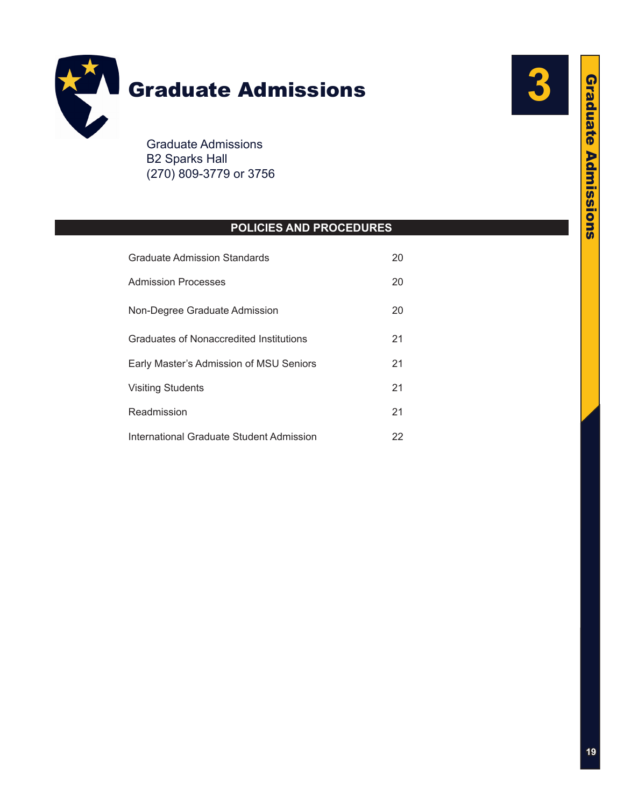

B2 Sparks Hall (270) 809-3779 or 3756

# **POLICIES AND PROCEDURES**

| <b>Graduate Admission Standards</b>      | 20 |
|------------------------------------------|----|
| Admission Processes                      | 20 |
| Non-Degree Graduate Admission            | 20 |
| Graduates of Nonaccredited Institutions  | 21 |
| Early Master's Admission of MSU Seniors  | 21 |
| <b>Visiting Students</b>                 | 21 |
| Readmission                              | 21 |
| International Graduate Student Admission | 22 |

**3**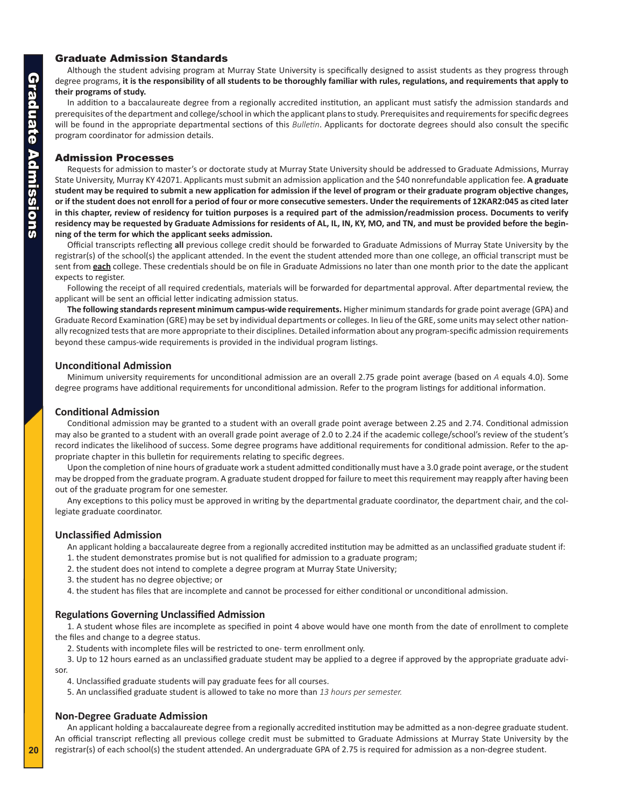## <span id="page-1-0"></span>Graduate Admission Standards

Although the student advising program at Murray State University is specifically designed to assist students as they progress through degree programs, **it is the responsibility of all students to be thoroughly familiar with rules, regulations, and requirements that apply to their programs of study.**

In addition to a baccalaureate degree from a regionally accredited institution, an applicant must satisfy the admission standards and prerequisites of the department and college/school in which the applicant plans to study. Prerequisites and requirements for specific degrees will be found in the appropriate departmental sections of this *Bulletin*. Applicants for doctorate degrees should also consult the specific program coordinator for admission details.

## Admission Processes

Requests for admission to master's or doctorate study at Murray State University should be addressed to Graduate Admissions, Murray State University, Murray KY 42071. Applicants must submit an admission application and the \$40 nonrefundable application fee. **A graduate student may be required to submit a new application for admission if the level of program or their graduate program objective changes, or if the student does not enroll for a period of four or more consecutive semesters. Under the requirements of 12KAR2:045 as cited later in this chapter, review of residency for tuition purposes is a required part of the admission/readmission process. Documents to verify residency may be requested by Graduate Admissions for residents of AL, IL, IN, KY, MO, and TN, and must be provided before the beginning of the term for which the applicant seeks admission.**

Official transcripts reflecting **all** previous college credit should be forwarded to Graduate Admissions of Murray State University by the registrar(s) of the school(s) the applicant attended. In the event the student attended more than one college, an official transcript must be sent from **each** college. These credentials should be on file in Graduate Admissions no later than one month prior to the date the applicant expects to register.

Following the receipt of all required credentials, materials will be forwarded for departmental approval. After departmental review, the applicant will be sent an official letter indicating admission status.

**The following standards represent minimum campus-wide requirements.** Higher minimum standards for grade point average (GPA) and Graduate Record Examination (GRE) may be set by individual departments or colleges. In lieu of the GRE, some units may select other nationally recognized tests that are more appropriate to their disciplines. Detailed information about any program-specific admission requirements beyond these campus-wide requirements is provided in the individual program listings.

## **Unconditional Admission**

Minimum university requirements for unconditional admission are an overall 2.75 grade point average (based on *A* equals 4.0). Some degree programs have additional requirements for unconditional admission. Refer to the program listings for additional information.

## **Conditional Admission**

Conditional admission may be granted to a student with an overall grade point average between 2.25 and 2.74. Conditional admission may also be granted to a student with an overall grade point average of 2.0 to 2.24 if the academic college/school's review of the student's record indicates the likelihood of success. Some degree programs have additional requirements for conditional admission. Refer to the appropriate chapter in this bulletin for requirements relating to specific degrees.

Upon the completion of nine hours of graduate work a student admitted conditionally must have a 3.0 grade point average, or the student may be dropped from the graduate program. A graduate student dropped for failure to meet this requirement may reapply after having been out of the graduate program for one semester.

Any exceptions to this policy must be approved in writing by the departmental graduate coordinator, the department chair, and the collegiate graduate coordinator.

## **Unclassified Admission**

An applicant holding a baccalaureate degree from a regionally accredited institution may be admitted as an unclassified graduate student if:

- 1. the student demonstrates promise but is not qualified for admission to a graduate program;
- 2. the student does not intend to complete a degree program at Murray State University;
- 3. the student has no degree objective; or

4. the student has files that are incomplete and cannot be processed for either conditional or unconditional admission.

## **Regulations Governing Unclassified Admission**

1. A student whose files are incomplete as specified in point 4 above would have one month from the date of enrollment to complete the files and change to a degree status.

2. Students with incomplete files will be restricted to one- term enrollment only.

3. Up to 12 hours earned as an unclassified graduate student may be applied to a degree if approved by the appropriate graduate advisor.

4. Unclassified graduate students will pay graduate fees for all courses.

5. An unclassified graduate student is allowed to take no more than *13 hours per semester.*

## **Non-Degree Graduate Admission**

An applicant holding a baccalaureate degree from a regionally accredited institution may be admitted as a non-degree graduate student. An official transcript reflecting all previous college credit must be submitted to Graduate Admissions at Murray State University by the registrar(s) of each school(s) the student attended. An undergraduate GPA of 2.75 is required for admission as a non-degree student.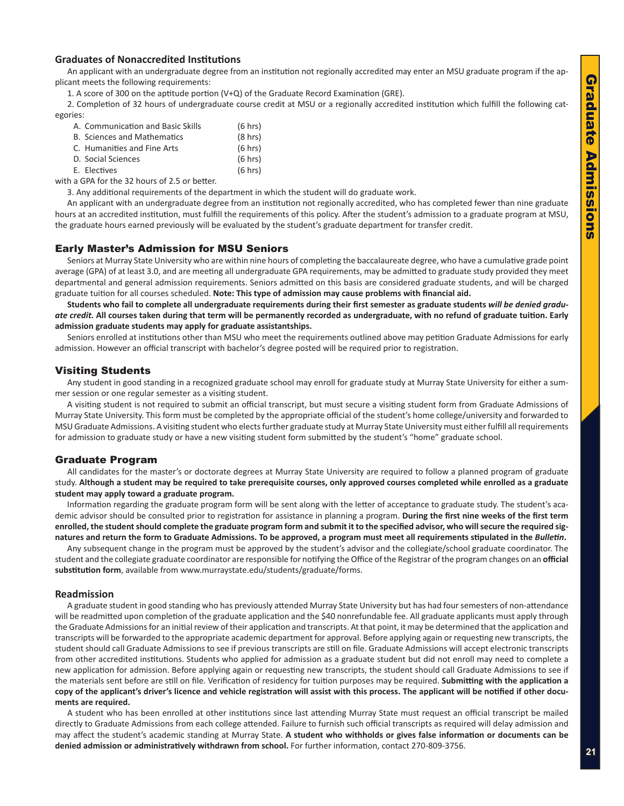## <span id="page-2-0"></span>**Graduates of Nonaccredited Institutions**

An applicant with an undergraduate degree from an institution not regionally accredited may enter an MSU graduate program if the applicant meets the following requirements:

1. A score of 300 on the aptitude portion (V+Q) of the Graduate Record Examination (GRE).

2. Completion of 32 hours of undergraduate course credit at MSU or a regionally accredited institution which fulfill the following categories:

| A. Communication and Basic Skills  | (6 hrs)           |
|------------------------------------|-------------------|
| <b>B. Sciences and Mathematics</b> | $(8 \text{ hrs})$ |
| C. Humanities and Fine Arts        | (6 hrs)           |
| D. Social Sciences                 | (6 hrs)           |
| E. Electives                       | $(6 \text{ hrs})$ |

with a GPA for the 32 hours of 2.5 or better.

3. Any additional requirements of the department in which the student will do graduate work.

An applicant with an undergraduate degree from an institution not regionally accredited, who has completed fewer than nine graduate hours at an accredited institution, must fulfill the requirements of this policy. After the student's admission to a graduate program at MSU, the graduate hours earned previously will be evaluated by the student's graduate department for transfer credit.

## Early Master's Admission for MSU Seniors

Seniors at Murray State University who are within nine hours of completing the baccalaureate degree, who have a cumulative grade point average (GPA) of at least 3.0, and are meeting all undergraduate GPA requirements, may be admitted to graduate study provided they meet departmental and general admission requirements. Seniors admitted on this basis are considered graduate students, and will be charged graduate tuition for all courses scheduled. **Note: This type of admission may cause problems with financial aid.**

**Students who fail to complete all undergraduate requirements during their first semester as graduate students** *will be denied graduate credit.* **All courses taken during that term will be permanently recorded as undergraduate, with no refund of graduate tuition. Early admission graduate students may apply for graduate assistantships.**

Seniors enrolled at institutions other than MSU who meet the requirements outlined above may petition Graduate Admissions for early admission. However an official transcript with bachelor's degree posted will be required prior to registration.

## Visiting Students

Any student in good standing in a recognized graduate school may enroll for graduate study at Murray State University for either a summer session or one regular semester as a visiting student.

A visiting student is not required to submit an official transcript, but must secure a visiting student form from Graduate Admissions of Murray State University. This form must be completed by the appropriate official of the student's home college/university and forwarded to MSU Graduate Admissions. A visiting student who elects further graduate study at Murray State University must either fulfill all requirements for admission to graduate study or have a new visiting student form submitted by the student's "home" graduate school.

## Graduate Program

All candidates for the master's or doctorate degrees at Murray State University are required to follow a planned program of graduate study. **Although a student may be required to take prerequisite courses, only approved courses completed while enrolled as a graduate student may apply toward a graduate program.**

Information regarding the graduate program form will be sent along with the letter of acceptance to graduate study. The student's academic advisor should be consulted prior to registration for assistance in planning a program. **During the first nine weeks of the first term enrolled, the student should complete the graduate program form and submit it to the specified advisor, who will secure the required signatures and return the form to Graduate Admissions. To be approved, a program must meet all requirements stipulated in the** *Bulletin***.**

Any subsequent change in the program must be approved by the student's advisor and the collegiate/school graduate coordinator. The student and the collegiate graduate coordinator are responsible for notifying the Office of the Registrar of the program changes on an **official substitution form**, available from www.murraystate.edu/students/graduate/forms.

## **Readmission**

A graduate student in good standing who has previously attended Murray State University but has had four semesters of non-attendance will be readmitted upon completion of the graduate application and the \$40 nonrefundable fee. All graduate applicants must apply through the Graduate Admissions for an initial review of their application and transcripts. At that point, it may be determined that the application and transcripts will be forwarded to the appropriate academic department for approval. Before applying again or requesting new transcripts, the student should call Graduate Admissions to see if previous transcripts are still on file. Graduate Admissions will accept electronic transcripts from other accredited institutions. Students who applied for admission as a graduate student but did not enroll may need to complete a new application for admission. Before applying again or requesting new transcripts, the student should call Graduate Admissions to see if the materials sent before are still on file. Verification of residency for tuition purposes may be required. **Submitting with the application a copy of the applicant's driver's licence and vehicle registration will assist with this process. The applicant will be notified if other documents are required.**

A student who has been enrolled at other institutions since last attending Murray State must request an official transcript be mailed directly to Graduate Admissions from each college attended. Failure to furnish such official transcripts as required will delay admission and may affect the student's academic standing at Murray State. **A student who withholds or gives false information or documents can be denied admission or administratively withdrawn from school.** For further information, contact 270-809-3756.